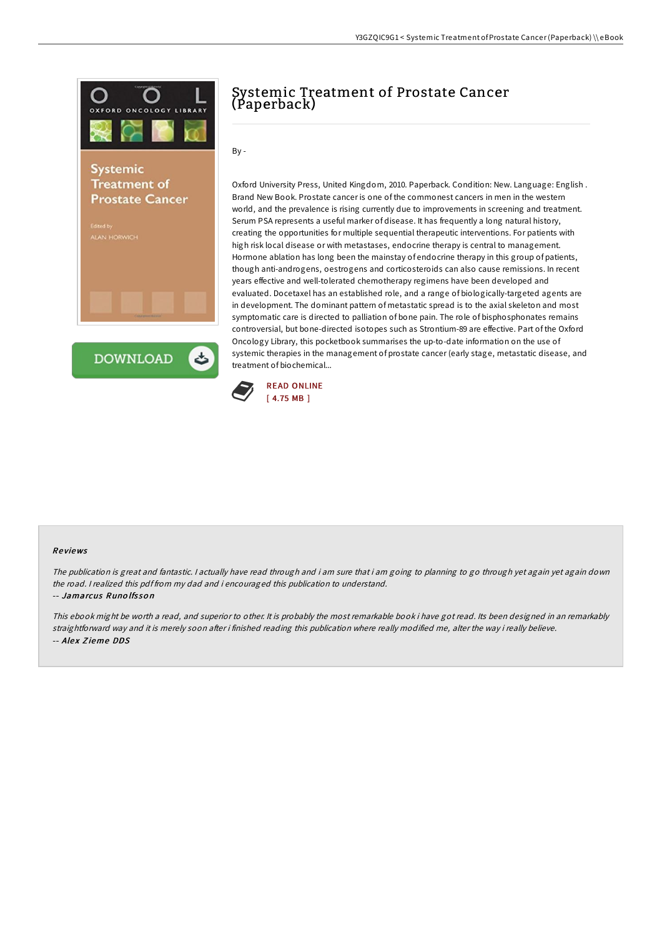



# Systemic Treatment of Prostate Cancer (Paperback)

By -

Oxford University Press, United Kingdom, 2010. Paperback. Condition: New. Language: English . Brand New Book. Prostate cancer is one of the commonest cancers in men in the western world, and the prevalence is rising currently due to improvements in screening and treatment. Serum PSA represents a useful marker of disease. It has frequently a long natural history, creating the opportunities for multiple sequential therapeutic interventions. For patients with high risk local disease or with metastases, endocrine therapy is central to management. Hormone ablation has long been the mainstay of endocrine therapy in this group of patients, though anti-androgens, oestrogens and corticosteroids can also cause remissions. In recent years effective and well-tolerated chemotherapy regimens have been developed and evaluated. Docetaxel has an established role, and a range of biologically-targeted agents are in development. The dominant pattern of metastatic spread is to the axial skeleton and most symptomatic care is directed to palliation of bone pain. The role of bisphosphonates remains controversial, but bone-directed isotopes such as Strontium-89 are effective. Part of the Oxford Oncology Library, this pocketbook summarises the up-to-date information on the use of systemic therapies in the management of prostate cancer (early stage, metastatic disease, and treatment of biochemical...



### Re views

The publication is great and fantastic. <sup>I</sup> actually have read through and i am sure that i am going to planning to go through yet again yet again down the road. <sup>I</sup> realized this pdf from my dad and i encouraged this publication to understand.

#### -- Jamarcus Runo lfs so <sup>n</sup>

This ebook might be worth <sup>a</sup> read, and superior to other. It is probably the most remarkable book i have got read. Its been designed in an remarkably straightforward way and it is merely soon after i finished reading this publication where really modified me, alter the way i really believe. -- Alex Zieme DDS